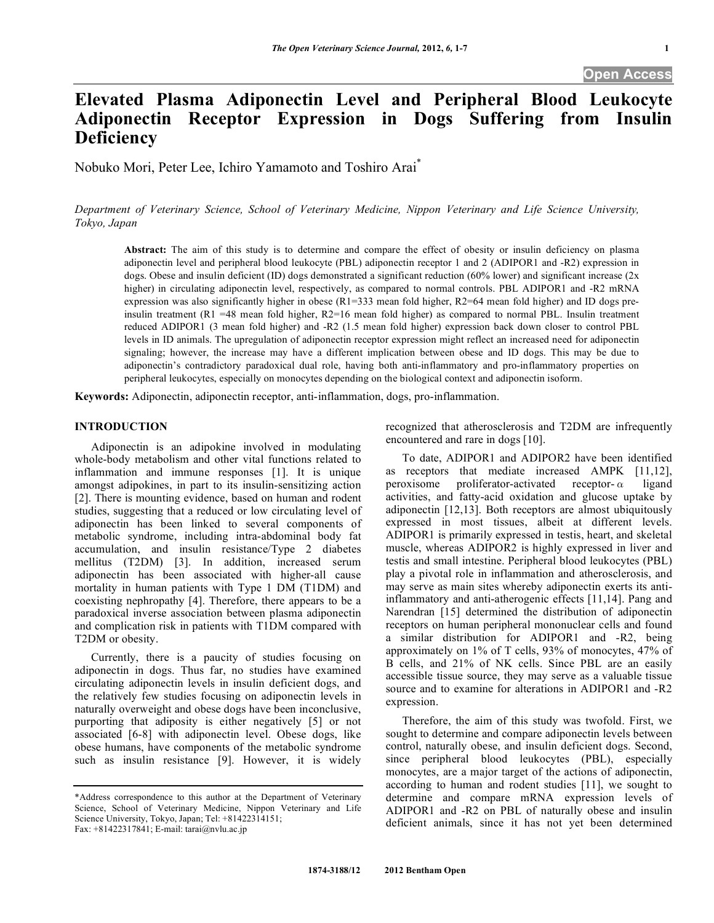# **Elevated Plasma Adiponectin Level and Peripheral Blood Leukocyte Adiponectin Receptor Expression in Dogs Suffering from Insulin Deficiency**

Nobuko Mori, Peter Lee, Ichiro Yamamoto and Toshiro Arai\*

*Department of Veterinary Science, School of Veterinary Medicine, Nippon Veterinary and Life Science University, Tokyo, Japan* 

**Abstract:** The aim of this study is to determine and compare the effect of obesity or insulin deficiency on plasma adiponectin level and peripheral blood leukocyte (PBL) adiponectin receptor 1 and 2 (ADIPOR1 and -R2) expression in dogs. Obese and insulin deficient (ID) dogs demonstrated a significant reduction (60% lower) and significant increase (2x higher) in circulating adiponectin level, respectively, as compared to normal controls. PBL ADIPOR1 and -R2 mRNA expression was also significantly higher in obese  $(R1=333$  mean fold higher,  $R2=64$  mean fold higher) and ID dogs preinsulin treatment  $(R1 = 48$  mean fold higher,  $R2 = 16$  mean fold higher) as compared to normal PBL. Insulin treatment reduced ADIPOR1 (3 mean fold higher) and -R2 (1.5 mean fold higher) expression back down closer to control PBL levels in ID animals. The upregulation of adiponectin receptor expression might reflect an increased need for adiponectin signaling; however, the increase may have a different implication between obese and ID dogs. This may be due to adiponectin's contradictory paradoxical dual role, having both anti-inflammatory and pro-inflammatory properties on peripheral leukocytes, especially on monocytes depending on the biological context and adiponectin isoform.

**Keywords:** Adiponectin, adiponectin receptor, anti-inflammation, dogs, pro-inflammation.

#### **INTRODUCTION**

 Adiponectin is an adipokine involved in modulating whole-body metabolism and other vital functions related to inflammation and immune responses [1]. It is unique amongst adipokines, in part to its insulin-sensitizing action [2]. There is mounting evidence, based on human and rodent studies, suggesting that a reduced or low circulating level of adiponectin has been linked to several components of metabolic syndrome, including intra-abdominal body fat accumulation, and insulin resistance/Type 2 diabetes mellitus (T2DM) [3]. In addition, increased serum adiponectin has been associated with higher-all cause mortality in human patients with Type 1 DM (T1DM) and coexisting nephropathy [4]. Therefore, there appears to be a paradoxical inverse association between plasma adiponectin and complication risk in patients with T1DM compared with T2DM or obesity.

 Currently, there is a paucity of studies focusing on adiponectin in dogs. Thus far, no studies have examined circulating adiponectin levels in insulin deficient dogs, and the relatively few studies focusing on adiponectin levels in naturally overweight and obese dogs have been inconclusive, purporting that adiposity is either negatively [5] or not associated [6-8] with adiponectin level. Obese dogs, like obese humans, have components of the metabolic syndrome such as insulin resistance [9]. However, it is widely recognized that atherosclerosis and T2DM are infrequently encountered and rare in dogs [10].

 To date, ADIPOR1 and ADIPOR2 have been identified as receptors that mediate increased AMPK [11,12], peroxisome proliferator-activated receptor- $\alpha$  ligand activities, and fatty-acid oxidation and glucose uptake by adiponectin [12,13]. Both receptors are almost ubiquitously expressed in most tissues, albeit at different levels. ADIPOR1 is primarily expressed in testis, heart, and skeletal muscle, whereas ADIPOR2 is highly expressed in liver and testis and small intestine. Peripheral blood leukocytes (PBL) play a pivotal role in inflammation and atherosclerosis, and may serve as main sites whereby adiponectin exerts its antiinflammatory and anti-atherogenic effects [11,14]. Pang and Narendran [15] determined the distribution of adiponectin receptors on human peripheral mononuclear cells and found a similar distribution for ADIPOR1 and -R2, being approximately on 1% of T cells, 93% of monocytes, 47% of B cells, and 21% of NK cells. Since PBL are an easily accessible tissue source, they may serve as a valuable tissue source and to examine for alterations in ADIPOR1 and -R2 expression.

 Therefore, the aim of this study was twofold. First, we sought to determine and compare adiponectin levels between control, naturally obese, and insulin deficient dogs. Second, since peripheral blood leukocytes (PBL), especially monocytes, are a major target of the actions of adiponectin, according to human and rodent studies [11], we sought to determine and compare mRNA expression levels of ADIPOR1 and -R2 on PBL of naturally obese and insulin deficient animals, since it has not yet been determined

<sup>\*</sup>Address correspondence to this author at the Department of Veterinary Science, School of Veterinary Medicine, Nippon Veterinary and Life Science University, Tokyo, Japan; Tel: +81422314151; Fax: +81422317841; E-mail: tarai@nvlu.ac.jp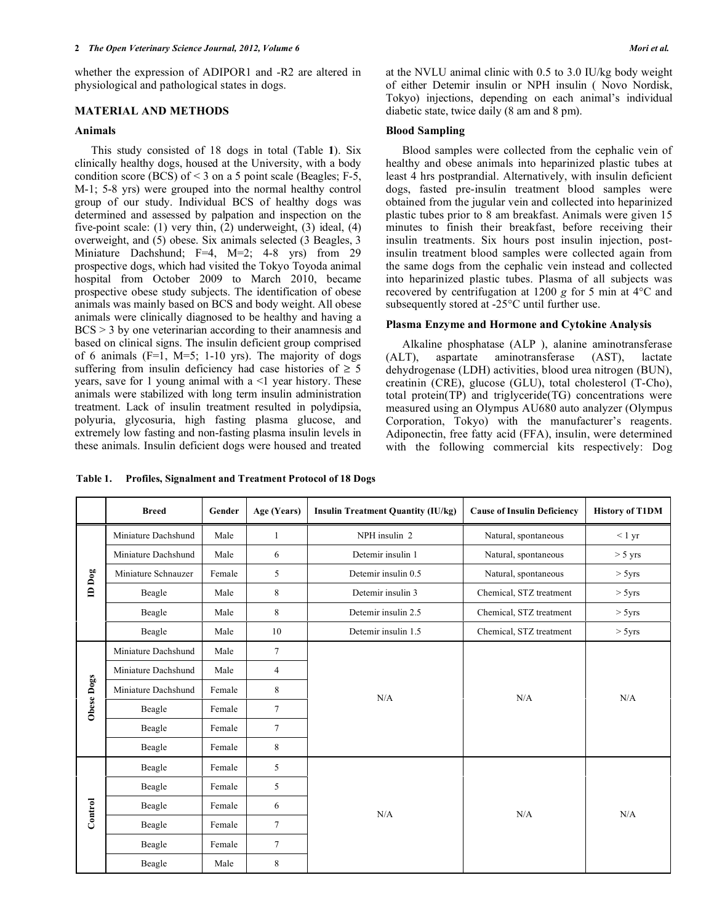whether the expression of ADIPOR1 and -R2 are altered in physiological and pathological states in dogs.

## **MATERIAL AND METHODS**

#### **Animals**

 This study consisted of 18 dogs in total (Table **1**). Six clinically healthy dogs, housed at the University, with a body condition score (BCS) of < 3 on a 5 point scale (Beagles; F-5, M-1; 5-8 yrs) were grouped into the normal healthy control group of our study. Individual BCS of healthy dogs was determined and assessed by palpation and inspection on the five-point scale: (1) very thin, (2) underweight, (3) ideal, (4) overweight, and (5) obese. Six animals selected (3 Beagles, 3 Miniature Dachshund; F=4, M=2; 4-8 yrs) from 29 prospective dogs, which had visited the Tokyo Toyoda animal hospital from October 2009 to March 2010, became prospective obese study subjects. The identification of obese animals was mainly based on BCS and body weight. All obese animals were clinically diagnosed to be healthy and having a  $BCS > 3$  by one veterinarian according to their anamnesis and based on clinical signs. The insulin deficient group comprised of 6 animals  $(F=1, M=5; 1-10$  yrs). The majority of dogs suffering from insulin deficiency had case histories of  $\geq$  5 years, save for 1 young animal with  $a \leq 1$  year history. These animals were stabilized with long term insulin administration treatment. Lack of insulin treatment resulted in polydipsia, polyuria, glycosuria, high fasting plasma glucose, and extremely low fasting and non-fasting plasma insulin levels in these animals. Insulin deficient dogs were housed and treated

at the NVLU animal clinic with 0.5 to 3.0 IU/kg body weight of either Detemir insulin or NPH insulin ( Novo Nordisk, Tokyo) injections, depending on each animal's individual diabetic state, twice daily (8 am and 8 pm).

#### **Blood Sampling**

 Blood samples were collected from the cephalic vein of healthy and obese animals into heparinized plastic tubes at least 4 hrs postprandial. Alternatively, with insulin deficient dogs, fasted pre-insulin treatment blood samples were obtained from the jugular vein and collected into heparinized plastic tubes prior to 8 am breakfast. Animals were given 15 minutes to finish their breakfast, before receiving their insulin treatments. Six hours post insulin injection, postinsulin treatment blood samples were collected again from the same dogs from the cephalic vein instead and collected into heparinized plastic tubes. Plasma of all subjects was recovered by centrifugation at 1200 *g* for 5 min at 4°C and subsequently stored at -25°C until further use.

## **Plasma Enzyme and Hormone and Cytokine Analysis**

 Alkaline phosphatase (ALP ), alanine aminotransferase (ALT), aspartate aminotransferase (AST), lactate dehydrogenase (LDH) activities, blood urea nitrogen (BUN), creatinin (CRE), glucose (GLU), total cholesterol (T-Cho), total protein(TP) and triglyceride(TG) concentrations were measured using an Olympus AU680 auto analyzer (Olympus Corporation, Tokyo) with the manufacturer's reagents. Adiponectin, free fatty acid (FFA), insulin, were determined with the following commercial kits respectively: Dog

|                               | <b>Breed</b>        | Gender | Age (Years)    | <b>Insulin Treatment Quantity (IU/kg)</b> | <b>Cause of Insulin Deficiency</b> | <b>History of T1DM</b> |
|-------------------------------|---------------------|--------|----------------|-------------------------------------------|------------------------------------|------------------------|
| $\mathbf{ID}$ $\mathbf{D}$ og | Miniature Dachshund | Male   | 1              | NPH insulin 2                             | Natural, spontaneous               | < 1 yr                 |
|                               | Miniature Dachshund | Male   | 6              | Detemir insulin 1                         | Natural, spontaneous               | $> 5 \text{ yrs}$      |
|                               | Miniature Schnauzer | Female | 5              | Detemir insulin 0.5                       | Natural, spontaneous               | > 5yrs                 |
|                               | Beagle              | Male   | 8              | Detemir insulin 3                         | Chemical, STZ treatment            | > 5yrs                 |
|                               | Beagle              | Male   | 8              | Detemir insulin 2.5                       | Chemical, STZ treatment            | > 5yrs                 |
|                               | Beagle              | Male   | 10             | Detemir insulin 1.5                       | Chemical, STZ treatment            | $>$ 5yrs               |
|                               | Miniature Dachshund | Male   | $\overline{7}$ |                                           | N/A                                | N/A                    |
|                               | Miniature Dachshund | Male   | $\overline{4}$ | N/A                                       |                                    |                        |
| Obese Dogs                    | Miniature Dachshund | Female | 8              |                                           |                                    |                        |
|                               | Beagle              | Female | $\overline{7}$ |                                           |                                    |                        |
|                               | Beagle              | Female | $\overline{7}$ |                                           |                                    |                        |
|                               | Beagle              | Female | 8              |                                           |                                    |                        |
| Control                       | Beagle              | Female | 5              |                                           | N/A                                | N/A                    |
|                               | Beagle              | Female | 5              |                                           |                                    |                        |
|                               | Beagle              | Female | 6              | N/A                                       |                                    |                        |
|                               | Beagle              | Female | $\overline{7}$ |                                           |                                    |                        |
|                               | Beagle              | Female | $\overline{7}$ |                                           |                                    |                        |
|                               | Beagle              | Male   | 8              |                                           |                                    |                        |

**Table 1. Profiles, Signalment and Treatment Protocol of 18 Dogs**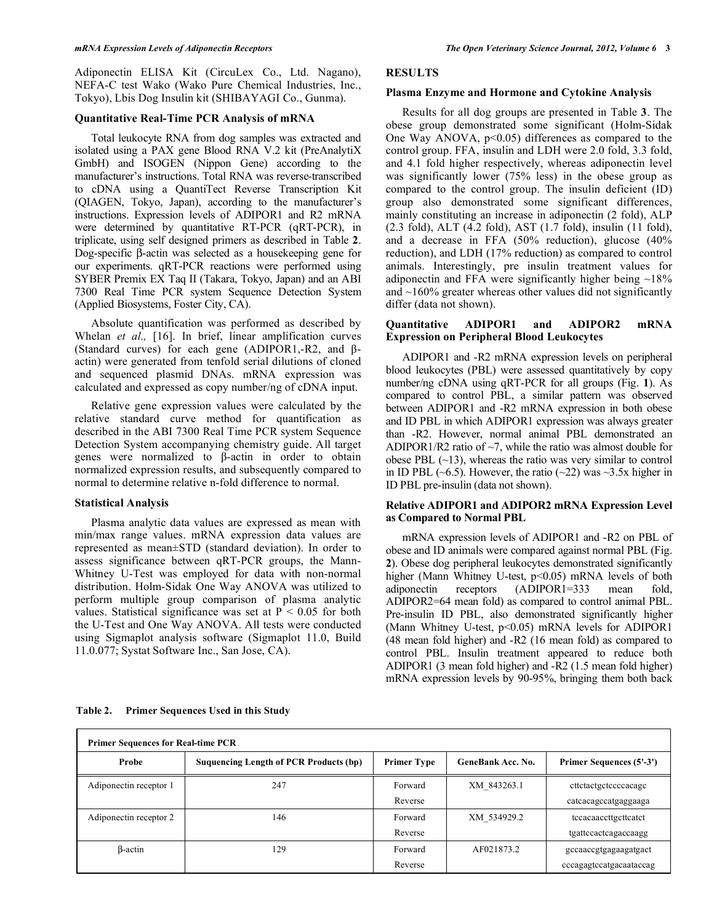Adiponectin ELISA Kit (CircuLex Co., Ltd. Nagano), NEFA-C test Wako (Wako Pure Chemical Industries, Inc., Tokyo), Lbis Dog Insulin kit (SHIBAYAGI Co., Gunma).

## **Quantitative Real-Time PCR Analysis of mRNA**

 Total leukocyte RNA from dog samples was extracted and isolated using a PAX gene Blood RNA V.2 kit (PreAnalytiX GmbH) and ISOGEN (Nippon Gene) according to the manufacturer's instructions. Total RNA was reverse-transcribed to cDNA using a QuantiTect Reverse Transcription Kit (QIAGEN, Tokyo, Japan), according to the manufacturer's instructions. Expression levels of ADIPOR1 and R2 mRNA were determined by quantitative RT-PCR (qRT-PCR), in triplicate, using self designed primers as described in Table **2**. Dog-specific  $\beta$ -actin was selected as a house keeping gene for our experiments. qRT-PCR reactions were performed using SYBER Premix EX Taq II (Takara, Tokyo, Japan) and an ABI 7300 Real Time PCR system Sequence Detection System (Applied Biosystems, Foster City, CA).

 Absolute quantification was performed as described by Whelan *et al.*, [16]. In brief, linear amplification curves (Standard curves) for each gene (ADIPOR1,-R2, and  $\beta$ actin) were generated from tenfold serial dilutions of cloned and sequenced plasmid DNAs. mRNA expression was calculated and expressed as copy number/ng of cDNA input.

 Relative gene expression values were calculated by the relative standard curve method for quantification as described in the ABI 7300 Real Time PCR system Sequence Detection System accompanying chemistry guide. All target genes were normalized to  $\beta$ -actin in order to obtain normalized expression results, and subsequently compared to normal to determine relative n-fold difference to normal.

## **Statistical Analysis**

 Plasma analytic data values are expressed as mean with min/max range values. mRNA expression data values are represented as mean±STD (standard deviation). In order to assess significance between qRT-PCR groups, the Mann-Whitney U-Test was employed for data with non-normal distribution. Holm-Sidak One Way ANOVA was utilized to perform multiple group comparison of plasma analytic values. Statistical significance was set at  $P < 0.05$  for both the U-Test and One Way ANOVA. All tests were conducted using Sigmaplot analysis software (Sigmaplot 11.0, Build 11.0.077; Systat Software Inc., San Jose, CA).

## **RESULTS**

## **Plasma Enzyme and Hormone and Cytokine Analysis**

 Results for all dog groups are presented in Table **3**. The obese group demonstrated some significant (Holm-Sidak One Way ANOVA, p<0.05) differences as compared to the control group. FFA, insulin and LDH were 2.0 fold, 3.3 fold, and 4.1 fold higher respectively, whereas adiponectin level was significantly lower (75% less) in the obese group as compared to the control group. The insulin deficient (ID) group also demonstrated some significant differences, mainly constituting an increase in adiponectin (2 fold), ALP (2.3 fold), ALT (4.2 fold), AST (1.7 fold), insulin (11 fold), and a decrease in FFA (50% reduction), glucose (40% reduction), and LDH (17% reduction) as compared to control animals. Interestingly, pre insulin treatment values for adiponectin and FFA were significantly higher being ~18% and  $\sim$ 160% greater whereas other values did not significantly differ (data not shown).

## **Quantitative ADIPOR1 and ADIPOR2 mRNA Expression on Peripheral Blood Leukocytes**

 ADIPOR1 and -R2 mRNA expression levels on peripheral blood leukocytes (PBL) were assessed quantitatively by copy number/ng cDNA using qRT-PCR for all groups (Fig. **1**). As compared to control PBL, a similar pattern was observed between ADIPOR1 and -R2 mRNA expression in both obese and ID PBL in which ADIPOR1 expression was always greater than -R2. However, normal animal PBL demonstrated an ADIPOR1/R2 ratio of  $\sim$ 7, while the ratio was almost double for obese PBL  $(-13)$ , whereas the ratio was very similar to control in ID PBL ( $\sim$ 6.5). However, the ratio ( $\sim$ 22) was  $\sim$ 3.5x higher in ID PBL pre-insulin (data not shown).

## **Relative ADIPOR1 and ADIPOR2 mRNA Expression Level as Compared to Normal PBL**

 mRNA expression levels of ADIPOR1 and -R2 on PBL of obese and ID animals were compared against normal PBL (Fig. **2**). Obese dog peripheral leukocytes demonstrated significantly higher (Mann Whitney U-test, p<0.05) mRNA levels of both adiponectin receptors (ADIPOR1=333 mean fold, ADIPOR2=64 mean fold) as compared to control animal PBL. Pre-insulin ID PBL, also demonstrated significantly higher (Mann Whitney U-test, p<0.05) mRNA levels for ADIPOR1 (48 mean fold higher) and -R2 (16 mean fold) as compared to control PBL. Insulin treatment appeared to reduce both ADIPOR1 (3 mean fold higher) and -R2 (1.5 mean fold higher) mRNA expression levels by 90-95%, bringing them both back

#### **Table 2. Primer Sequences Used in this Study**

| <b>Primer Sequences for Real-time PCR</b> |                                        |                    |                          |                                 |  |  |  |  |
|-------------------------------------------|----------------------------------------|--------------------|--------------------------|---------------------------------|--|--|--|--|
| Probe                                     | Suquencing Length of PCR Products (bp) | <b>Primer Type</b> | <b>GeneBank Acc. No.</b> | <b>Primer Sequences (5'-3')</b> |  |  |  |  |
| Adiponectin receptor 1                    | 247                                    | Forward            | XM 843263.1              | cttctactgctccccacagc            |  |  |  |  |
|                                           |                                        | Reverse            |                          | catcacagccatgaggaaga            |  |  |  |  |
| Adiponectin receptor 2                    | 146                                    | Forward            | XM 534929.2              | tecacaaccttgcttcatct            |  |  |  |  |
|                                           |                                        | Reverse            |                          | tgattccactcagaccaagg            |  |  |  |  |
| B-actin                                   | 129                                    | Forward            | AF021873.2               | gccaaccgtgagaagatgact           |  |  |  |  |
|                                           |                                        | Reverse            |                          | cccagagtccatgacaataccag         |  |  |  |  |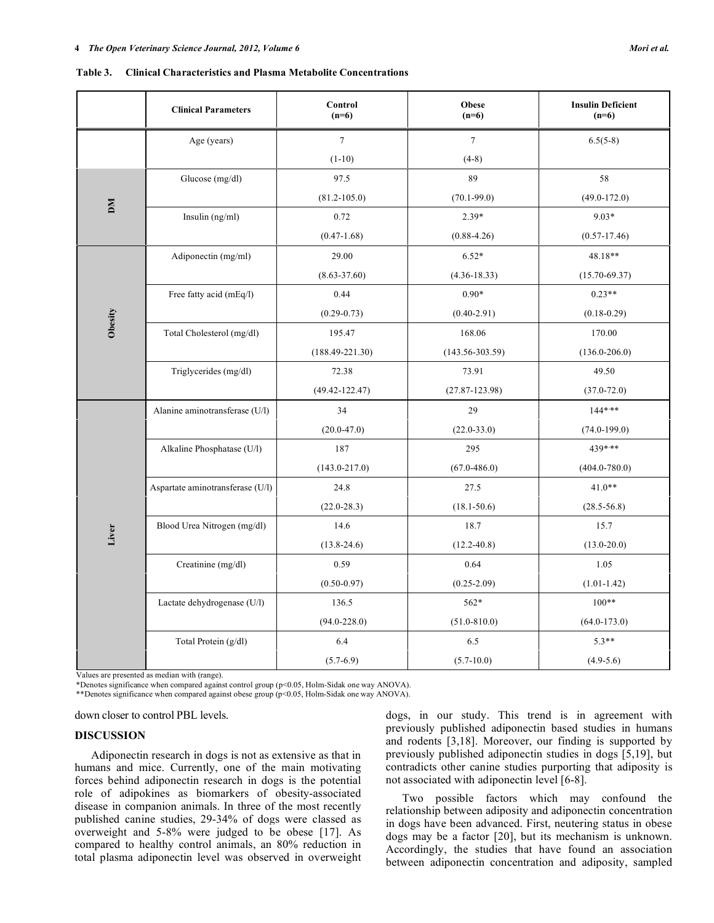| <b>Table 3.</b> | Clinical Characteristics and Plasma Metabolite Concentrations |
|-----------------|---------------------------------------------------------------|
|                 |                                                               |

|         | <b>Clinical Parameters</b>       | Control<br>$(n=6)$  | Obese<br>$(n=6)$    | <b>Insulin Deficient</b><br>$(n=6)$ |
|---------|----------------------------------|---------------------|---------------------|-------------------------------------|
|         | Age (years)                      | $\boldsymbol{7}$    | $7\phantom{.0}$     | $6.5(5-8)$                          |
|         |                                  | $(1-10)$            | $(4-8)$             |                                     |
|         | Glucose (mg/dl)                  | 97.5                | 89                  | 58                                  |
| DМ      |                                  | $(81.2 - 105.0)$    | $(70.1 - 99.0)$     | $(49.0 - 172.0)$                    |
|         | Insulin (ng/ml)                  | 0.72                | $2.39*$             | $9.03*$                             |
|         |                                  | $(0.47 - 1.68)$     | $(0.88 - 4.26)$     | $(0.57 - 17.46)$                    |
|         | Adiponectin (mg/ml)              | 29.00               | $6.52*$             | 48.18**                             |
|         |                                  | $(8.63 - 37.60)$    | $(4.36 - 18.33)$    | $(15.70 - 69.37)$                   |
|         | Free fatty acid (mEq/l)          | 0.44                | $0.90*$             | $0.23**$                            |
|         |                                  | $(0.29 - 0.73)$     | $(0.40 - 2.91)$     | $(0.18 - 0.29)$                     |
| Obesity | Total Cholesterol (mg/dl)        | 195.47              | 168.06              | 170.00                              |
|         |                                  | $(188.49 - 221.30)$ | $(143.56 - 303.59)$ | $(136.0 - 206.0)$                   |
|         | Triglycerides (mg/dl)            | 72.38               | 73.91               | 49.50                               |
|         |                                  | $(49.42 - 122.47)$  | $(27.87 - 123.98)$  | $(37.0 - 72.0)$                     |
|         | Alanine aminotransferase (U/l)   | 34                  | 29                  | $144***$                            |
|         |                                  | $(20.0 - 47.0)$     | $(22.0 - 33.0)$     | $(74.0 - 199.0)$                    |
|         | Alkaline Phosphatase (U/l)       | 187                 | 295                 | 439***                              |
|         |                                  | $(143.0 - 217.0)$   | $(67.0 - 486.0)$    | $(404.0 - 780.0)$                   |
|         | Aspartate aminotransferase (U/l) | 24.8                | 27.5                | $41.0**$                            |
|         |                                  | $(22.0 - 28.3)$     | $(18.1 - 50.6)$     | $(28.5 - 56.8)$                     |
|         | Blood Urea Nitrogen (mg/dl)      | 14.6                | 18.7                | 15.7                                |
| Liver   |                                  | $(13.8 - 24.6)$     | $(12.2 - 40.8)$     | $(13.0 - 20.0)$                     |
|         | Creatinine (mg/dl)               | 0.59                | 0.64                | 1.05                                |
|         |                                  | $(0.50 - 0.97)$     | $(0.25 - 2.09)$     | $(1.01 - 1.42)$                     |
|         | Lactate dehydrogenase (U/l)      | 136.5               | 562*                | $100**$                             |
|         |                                  | $(94.0 - 228.0)$    | $(51.0 - 810.0)$    | $(64.0 - 173.0)$                    |
|         | Total Protein (g/dl)             | 6.4                 | 6.5                 | $5.3**$                             |
|         |                                  | $(5.7-6.9)$         | $(5.7 - 10.0)$      | $(4.9-5.6)$                         |

Values are presented as median with (range).

\*Denotes significance when compared against control group (p<0.05, Holm-Sidak one way ANOVA).

\*\*Denotes significance when compared against obese group (p<0.05, Holm-Sidak one way ANOVA).

down closer to control PBL levels.

#### **DISCUSSION**

 Adiponectin research in dogs is not as extensive as that in humans and mice. Currently, one of the main motivating forces behind adiponectin research in dogs is the potential role of adipokines as biomarkers of obesity-associated disease in companion animals. In three of the most recently published canine studies, 29-34% of dogs were classed as overweight and 5-8% were judged to be obese [17]. As compared to healthy control animals, an 80% reduction in total plasma adiponectin level was observed in overweight

dogs, in our study. This trend is in agreement with previously published adiponectin based studies in humans and rodents [3,18]. Moreover, our finding is supported by previously published adiponectin studies in dogs [5,19], but contradicts other canine studies purporting that adiposity is not associated with adiponectin level [6-8].

 Two possible factors which may confound the relationship between adiposity and adiponectin concentration in dogs have been advanced. First, neutering status in obese dogs may be a factor [20], but its mechanism is unknown. Accordingly, the studies that have found an association between adiponectin concentration and adiposity, sampled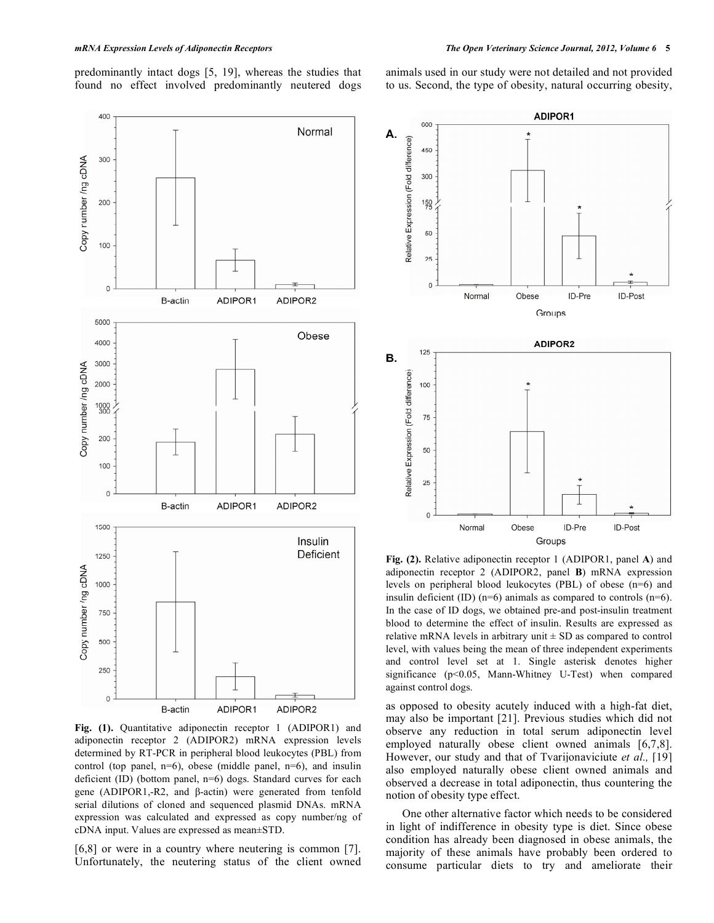predominantly intact dogs [5, 19], whereas the studies that found no effect involved predominantly neutered dogs animals used in our study were not detailed and not provided to us. Second, the type of obesity, natural occurring obesity,

Fig. (1). Quantitative adiponectin receptor 1 (ADIPOR1) and adiponectin receptor 2 (ADIPOR2) mRNA expression levels determined by RT-PCR in peripheral blood leukocytes (PBL) from control (top panel,  $n=6$ ), obese (middle panel,  $n=6$ ), and insulin deficient (ID) (bottom panel, n=6) dogs. Standard curves for each gene (ADIPOR1,-R2, and  $\beta$ -actin) were generated from tenfold serial dilutions of cloned and sequenced plasmid DNAs. mRNA expression was calculated and expressed as copy number/ng of cDNA input. Values are expressed as mean±STD.

[6,8] or were in a country where neutering is common [7]. Unfortunately, the neutering status of the client owned **Fig. (2).** Relative adiponectin receptor 1 (ADIPOR1, panel **A**) and adiponectin receptor 2 (ADIPOR2, panel **B**) mRNA expression levels on peripheral blood leukocytes (PBL) of obese (n=6) and insulin deficient (ID)  $(n=6)$  animals as compared to controls  $(n=6)$ . In the case of ID dogs, we obtained pre-and post-insulin treatment blood to determine the effect of insulin. Results are expressed as relative mRNA levels in arbitrary unit  $\pm$  SD as compared to control level, with values being the mean of three independent experiments and control level set at 1. Single asterisk denotes higher significance (p<0.05, Mann-Whitney U-Test) when compared against control dogs.

as opposed to obesity acutely induced with a high-fat diet, may also be important [21]. Previous studies which did not observe any reduction in total serum adiponectin level employed naturally obese client owned animals [6,7,8]. However, our study and that of Tvarijonaviciute *et al.,* [19] also employed naturally obese client owned animals and observed a decrease in total adiponectin, thus countering the notion of obesity type effect.

 One other alternative factor which needs to be considered in light of indifference in obesity type is diet. Since obese condition has already been diagnosed in obese animals, the majority of these animals have probably been ordered to consume particular diets to try and ameliorate their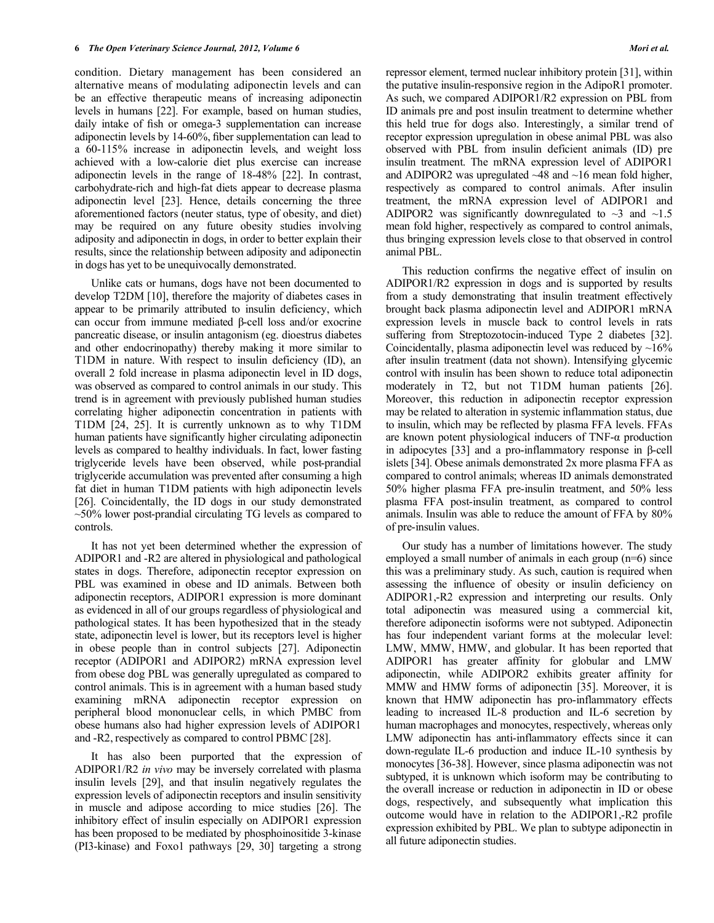condition. Dietary management has been considered an alternative means of modulating adiponectin levels and can be an effective therapeutic means of increasing adiponectin levels in humans [22]. For example, based on human studies, daily intake of fish or omega-3 supplementation can increase adiponectin levels by 14-60%, fiber supplementation can lead to a 60-115% increase in adiponectin levels, and weight loss achieved with a low-calorie diet plus exercise can increase adiponectin levels in the range of 18-48% [22]. In contrast, carbohydrate-rich and high-fat diets appear to decrease plasma adiponectin level [23]. Hence, details concerning the three aforementioned factors (neuter status, type of obesity, and diet) may be required on any future obesity studies involving adiposity and adiponectin in dogs, in order to better explain their results, since the relationship between adiposity and adiponectin in dogs has yet to be unequivocally demonstrated.

 Unlike cats or humans, dogs have not been documented to develop T2DM [10], therefore the majority of diabetes cases in appear to be primarily attributed to insulin deficiency, which can occur from immune mediated  $\beta$ -cell loss and/or exocrine pancreatic disease, or insulin antagonism (eg. dioestrus diabetes and other endocrinopathy) thereby making it more similar to T1DM in nature. With respect to insulin deficiency (ID), an overall 2 fold increase in plasma adiponectin level in ID dogs, was observed as compared to control animals in our study. This trend is in agreement with previously published human studies correlating higher adiponectin concentration in patients with T1DM [24, 25]. It is currently unknown as to why T1DM human patients have significantly higher circulating adiponectin levels as compared to healthy individuals. In fact, lower fasting triglyceride levels have been observed, while post-prandial triglyceride accumulation was prevented after consuming a high fat diet in human T1DM patients with high adiponectin levels [26]. Coincidentally, the ID dogs in our study demonstrated  $\sim$ 50% lower post-prandial circulating TG levels as compared to controls.

 It has not yet been determined whether the expression of ADIPOR1 and -R2 are altered in physiological and pathological states in dogs. Therefore, adiponectin receptor expression on PBL was examined in obese and ID animals. Between both adiponectin receptors, ADIPOR1 expression is more dominant as evidenced in all of our groups regardless of physiological and pathological states. It has been hypothesized that in the steady state, adiponectin level is lower, but its receptors level is higher in obese people than in control subjects [27]. Adiponectin receptor (ADIPOR1 and ADIPOR2) mRNA expression level from obese dog PBL was generally upregulated as compared to control animals. This is in agreement with a human based study examining mRNA adiponectin receptor expression on peripheral blood mononuclear cells, in which PMBC from obese humans also had higher expression levels of ADIPOR1 and -R2, respectively as compared to control PBMC [28].

 It has also been purported that the expression of ADIPOR1/R2 *in vivo* may be inversely correlated with plasma insulin levels [29], and that insulin negatively regulates the expression levels of adiponectin receptors and insulin sensitivity in muscle and adipose according to mice studies [26]. The inhibitory effect of insulin especially on ADIPOR1 expression has been proposed to be mediated by phosphoinositide 3-kinase (PI3-kinase) and Foxo1 pathways [29, 30] targeting a strong

repressor element, termed nuclear inhibitory protein [31], within the putative insulin-responsive region in the AdipoR1 promoter. As such, we compared ADIPOR1/R2 expression on PBL from ID animals pre and post insulin treatment to determine whether this held true for dogs also. Interestingly, a similar trend of receptor expression upregulation in obese animal PBL was also observed with PBL from insulin deficient animals (ID) pre insulin treatment. The mRNA expression level of ADIPOR1 and ADIPOR2 was upregulated  $~48$  and  $~16$  mean fold higher, respectively as compared to control animals. After insulin treatment, the mRNA expression level of ADIPOR1 and ADIPOR2 was significantly downregulated to  $\sim$ 3 and  $\sim$ 1.5 mean fold higher, respectively as compared to control animals, thus bringing expression levels close to that observed in control animal PBL.

 This reduction confirms the negative effect of insulin on ADIPOR1/R2 expression in dogs and is supported by results from a study demonstrating that insulin treatment effectively brought back plasma adiponectin level and ADIPOR1 mRNA expression levels in muscle back to control levels in rats suffering from Streptozotocin-induced Type 2 diabetes [32]. Coincidentally, plasma adiponectin level was reduced by  $~16\%$ after insulin treatment (data not shown). Intensifying glycemic control with insulin has been shown to reduce total adiponectin moderately in T2, but not T1DM human patients [26]. Moreover, this reduction in adiponectin receptor expression may be related to alteration in systemic inflammation status, due to insulin, which may be reflected by plasma FFA levels. FFAs are known potent physiological inducers of  $TNF-\alpha$  production in adipocytes  $[33]$  and a pro-inflammatory response in  $\beta$ -cell islets [34]. Obese animals demonstrated 2x more plasma FFA as compared to control animals; whereas ID animals demonstrated 50% higher plasma FFA pre-insulin treatment, and 50% less plasma FFA post-insulin treatment, as compared to control animals. Insulin was able to reduce the amount of FFA by 80% of pre-insulin values.

 Our study has a number of limitations however. The study employed a small number of animals in each group  $(n=6)$  since this was a preliminary study. As such, caution is required when assessing the influence of obesity or insulin deficiency on ADIPOR1,-R2 expression and interpreting our results. Only total adiponectin was measured using a commercial kit, therefore adiponectin isoforms were not subtyped. Adiponectin has four independent variant forms at the molecular level: LMW, MMW, HMW, and globular. It has been reported that ADIPOR1 has greater affinity for globular and LMW adiponectin, while ADIPOR2 exhibits greater affinity for MMW and HMW forms of adiponectin [35]. Moreover, it is known that HMW adiponectin has pro-inflammatory effects leading to increased IL-8 production and IL-6 secretion by human macrophages and monocytes, respectively, whereas only LMW adiponectin has anti-inflammatory effects since it can down-regulate IL-6 production and induce IL-10 synthesis by monocytes [36-38]. However, since plasma adiponectin was not subtyped, it is unknown which isoform may be contributing to the overall increase or reduction in adiponectin in ID or obese dogs, respectively, and subsequently what implication this outcome would have in relation to the ADIPOR1,-R2 profile expression exhibited by PBL. We plan to subtype adiponectin in all future adiponectin studies.